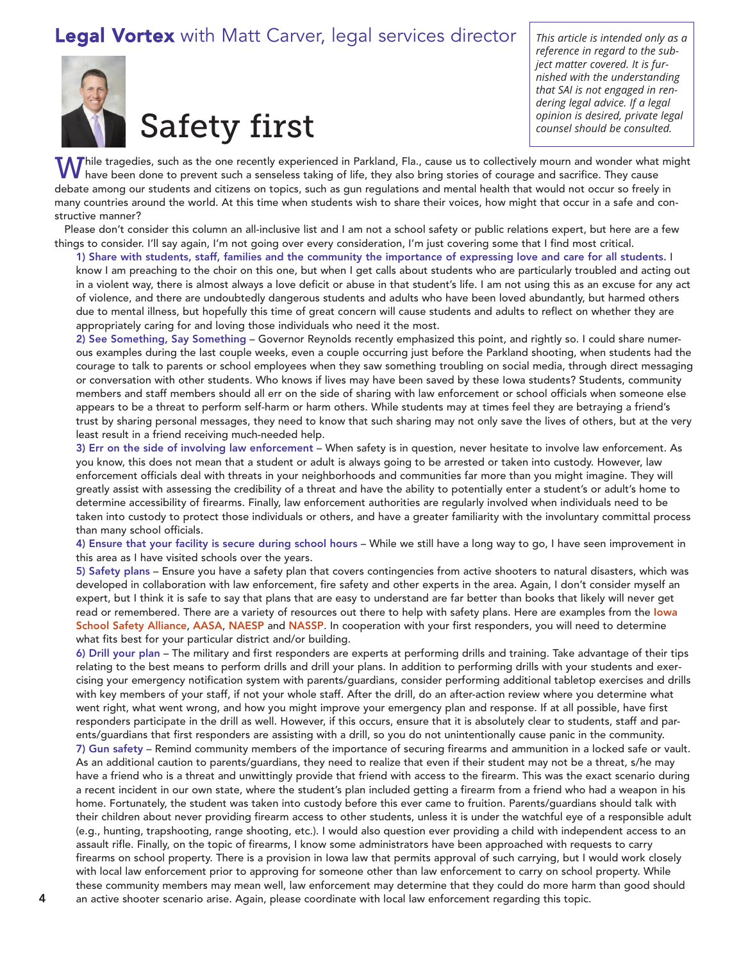## Legal Vortex with Matt Carver, legal services director *This article is intended only as <sup>a</sup>*



## Safety first

*reference in regard to the subject matter covered. It is furnished with the understanding that SAI is not engaged in rendering legal advice. If a legal opinion is desired, private legal counsel should be consulted.*

While tragedies, such as the one recently experienced in Parkland, Fla., cause us to collectively mourn and wonder what might have been done to prevent such a senseless taking of life, they also bring stories of courage and sacrifice. They cause debate among our students and citizens on topics, such as gun regulations and mental health that would not occur so freely in many countries around the world. At this time when students wish to share their voices, how might that occur in a safe and constructive manner?

Please don't consider this column an all-inclusive list and I am not a school safety or public relations expert, but here are a few things to consider. I'll say again, I'm not going over every consideration, I'm just covering some that I find most critical.

1) Share with students, staff, families and the community the importance of expressing love and care for all students. I know I am preaching to the choir on this one, but when I get calls about students who are particularly troubled and acting out in a violent way, there is almost always a love deficit or abuse in that student's life. I am not using this as an excuse for any act of violence, and there are undoubtedly dangerous students and adults who have been loved abundantly, but harmed others due to mental illness, but hopefully this time of great concern will cause students and adults to reflect on whether they are appropriately caring for and loving those individuals who need it the most.

2) See Something, Say Something – Governor Reynolds recently emphasized this point, and rightly so. I could share numerous examples during the last couple weeks, even a couple occurring just before the Parkland shooting, when students had the courage to talk to parents or school employees when they saw something troubling on social media, through direct messaging or conversation with other students. Who knows if lives may have been saved by these Iowa students? Students, community members and staff members should all err on the side of sharing with law enforcement or school officials when someone else appears to be a threat to perform self-harm or harm others. While students may at times feel they are betraying a friend's trust by sharing personal messages, they need to know that such sharing may not only save the lives of others, but at the very least result in a friend receiving much-needed help.

3) Err on the side of involving law enforcement – When safety is in question, never hesitate to involve law enforcement. As you know, this does not mean that a student or adult is always going to be arrested or taken into custody. However, law enforcement officials deal with threats in your neighborhoods and communities far more than you might imagine. They will greatly assist with assessing the credibility of a threat and have the ability to potentially enter a student's or adult's home to determine accessibility of firearms. Finally, law enforcement authorities are regularly involved when individuals need to be taken into custody to protect those individuals or others, and have a greater familiarity with the involuntary committal process than many school officials.

4) Ensure that your facility is secure during school hours – While we still have a long way to go, I have seen improvement in this area as I have visited schools over the years.

5) Safety plans – Ensure you have a safety plan that covers contingencies from active shooters to natural disasters, which was developed in collaboration with law enforcement, fire safety and other experts in the area. Again, I don't consider myself an expert, but I think it is safe to say that plans that are easy to understand are far better than books that likely will never get read or remembered. There are a variety of resources out there to help with safety plans. Here are examples from the lowa School Safety [Alliance](https://www.iowaschoolsafety.org/resources.html), [AASA](http://www.aasa.org/policy-blogs.aspx?id=42161&blogid=84002), [NAESP](https://www.naesp.org/content/naesp-statement-response-shooting-stoneman-high-school) and [NASSP](http://blog.nassp.org/2018/02/27/advocating-for-school-safety/). In cooperation with your first responders, you will need to determine what fits best for your particular district and/or building.

6) Drill your plan – The military and first responders are experts at performing drills and training. Take advantage of their tips relating to the best means to perform drills and drill your plans. In addition to performing drills with your students and exercising your emergency notification system with parents/guardians, consider performing additional tabletop exercises and drills with key members of your staff, if not your whole staff. After the drill, do an after-action review where you determine what went right, what went wrong, and how you might improve your emergency plan and response. If at all possible, have first responders participate in the drill as well. However, if this occurs, ensure that it is absolutely clear to students, staff and parents/guardians that first responders are assisting with a drill, so you do not unintentionally cause panic in the community. 7) Gun safety – Remind community members of the importance of securing firearms and ammunition in a locked safe or vault. As an additional caution to parents/guardians, they need to realize that even if their student may not be a threat, s/he may have a friend who is a threat and unwittingly provide that friend with access to the firearm. This was the exact scenario during a recent incident in our own state, where the student's plan included getting a firearm from a friend who had a weapon in his home. Fortunately, the student was taken into custody before this ever came to fruition. Parents/guardians should talk with their children about never providing firearm access to other students, unless it is under the watchful eye of a responsible adult (e.g., hunting, trapshooting, range shooting, etc.). I would also question ever providing a child with independent access to an assault rifle. Finally, on the topic of firearms, I know some administrators have been approached with requests to carry firearms on school property. There is a provision in Iowa law that permits approval of such carrying, but I would work closely with local law enforcement prior to approving for someone other than law enforcement to carry on school property. While these community members may mean well, law enforcement may determine that they could do more harm than good should an active shooter scenario arise. Again, please coordinate with local law enforcement regarding this topic.